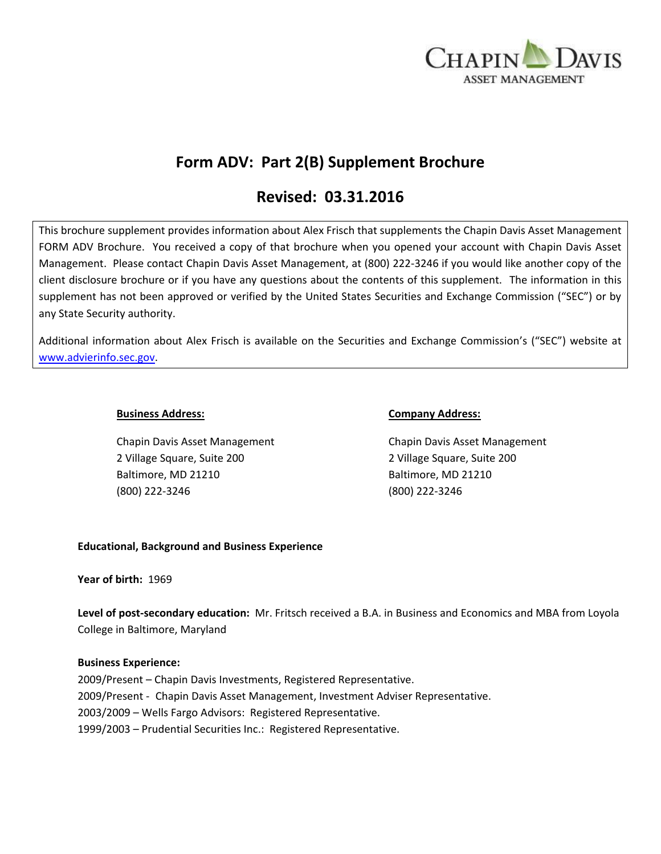

# **Form ADV: Part 2(B) Supplement Brochure**

# **Revised: 03.31.2016**

This brochure supplement provides information about Alex Frisch that supplements the Chapin Davis Asset Management FORM ADV Brochure. You received a copy of that brochure when you opened your account with Chapin Davis Asset Management. Please contact Chapin Davis Asset Management, at (800) 222-3246 if you would like another copy of the client disclosure brochure or if you have any questions about the contents of this supplement. The information in this supplement has not been approved or verified by the United States Securities and Exchange Commission ("SEC") or by any State Security authority.

Additional information about Alex Frisch is available on the Securities and Exchange Commission's ("SEC") website at [www.advierinfo.sec.gov.](http://www.advierinfo.sec.gov/)

Chapin Davis Asset Management Chapin Davis Asset Management 2 Village Square, Suite 200 2 Village Square, Suite 200 Baltimore, MD 21210 Baltimore, MD 21210 (800) 222-3246 (800) 222-3246

#### **Business Address: Company Address:**

# **Educational, Background and Business Experience**

**Year of birth:** 1969

**Level of post-secondary education:** Mr. Fritsch received a B.A. in Business and Economics and MBA from Loyola College in Baltimore, Maryland

# **Business Experience:**

2009/Present – Chapin Davis Investments, Registered Representative. 2009/Present - Chapin Davis Asset Management, Investment Adviser Representative. 2003/2009 – Wells Fargo Advisors: Registered Representative. 1999/2003 – Prudential Securities Inc.: Registered Representative.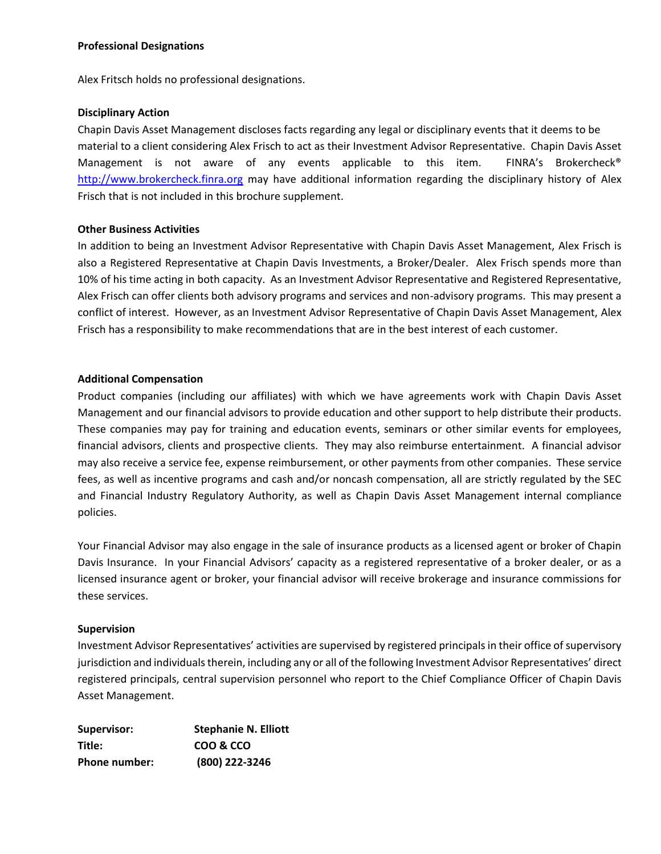### **Professional Designations**

Alex Fritsch holds no professional designations.

### **Disciplinary Action**

Chapin Davis Asset Management discloses facts regarding any legal or disciplinary events that it deems to be material to a client considering Alex Frisch to act as their Investment Advisor Representative. Chapin Davis Asset Management is not aware of any events applicable to this item. FINRA's Brokercheck<sup>®</sup> [http://www.brokercheck.finra.org](http://www.brokercheck.finra.org/) may have additional information regarding the disciplinary history of Alex Frisch that is not included in this brochure supplement.

#### **Other Business Activities**

In addition to being an Investment Advisor Representative with Chapin Davis Asset Management, Alex Frisch is also a Registered Representative at Chapin Davis Investments, a Broker/Dealer. Alex Frisch spends more than 10% of his time acting in both capacity. As an Investment Advisor Representative and Registered Representative, Alex Frisch can offer clients both advisory programs and services and non-advisory programs. This may present a conflict of interest. However, as an Investment Advisor Representative of Chapin Davis Asset Management, Alex Frisch has a responsibility to make recommendations that are in the best interest of each customer.

#### **Additional Compensation**

Product companies (including our affiliates) with which we have agreements work with Chapin Davis Asset Management and our financial advisors to provide education and other support to help distribute their products. These companies may pay for training and education events, seminars or other similar events for employees, financial advisors, clients and prospective clients. They may also reimburse entertainment. A financial advisor may also receive a service fee, expense reimbursement, or other payments from other companies. These service fees, as well as incentive programs and cash and/or noncash compensation, all are strictly regulated by the SEC and Financial Industry Regulatory Authority, as well as Chapin Davis Asset Management internal compliance policies.

Your Financial Advisor may also engage in the sale of insurance products as a licensed agent or broker of Chapin Davis Insurance. In your Financial Advisors' capacity as a registered representative of a broker dealer, or as a licensed insurance agent or broker, your financial advisor will receive brokerage and insurance commissions for these services.

#### **Supervision**

Investment Advisor Representatives' activities are supervised by registered principals in their office of supervisory jurisdiction and individuals therein, including any or all of the following Investment Advisor Representatives' direct registered principals, central supervision personnel who report to the Chief Compliance Officer of Chapin Davis Asset Management.

| <b>Supervisor:</b> | <b>Stephanie N. Elliott</b> |
|--------------------|-----------------------------|
| Title:             | COO & CCO                   |
| Phone number:      | (800) 222-3246              |